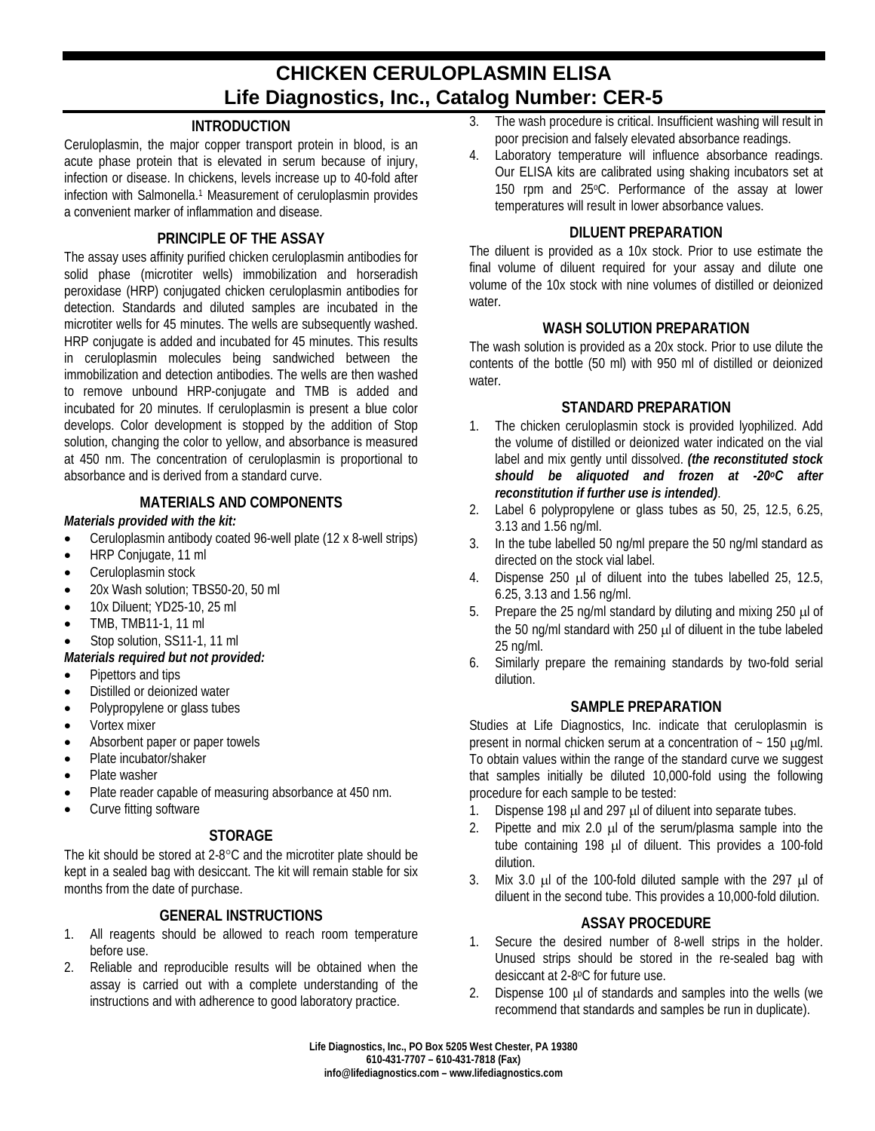# **CHICKEN CERULOPLASMIN ELISA Life Diagnostics, Inc., Catalog Number: CER-5**

# **INTRODUCTION**

Ceruloplasmin, the major copper transport protein in blood, is an acute phase protein that is elevated in serum because of injury, infection or disease. In chickens, levels increase up to 40-fold after infection with Salmonella. <sup>1</sup> Measurement of ceruloplasmin provides a convenient marker of inflammation and disease.

## **PRINCIPLE OF THE ASSAY**

The assay uses affinity purified chicken ceruloplasmin antibodies for solid phase (microtiter wells) immobilization and horseradish peroxidase (HRP) conjugated chicken ceruloplasmin antibodies for detection. Standards and diluted samples are incubated in the microtiter wells for 45 minutes. The wells are subsequently washed. HRP conjugate is added and incubated for 45 minutes. This results in ceruloplasmin molecules being sandwiched between the immobilization and detection antibodies. The wells are then washed to remove unbound HRP-conjugate and TMB is added and incubated for 20 minutes. If ceruloplasmin is present a blue color develops. Color development is stopped by the addition of Stop solution, changing the color to yellow, and absorbance is measured at 450 nm. The concentration of ceruloplasmin is proportional to absorbance and is derived from a standard curve.

#### **MATERIALS AND COMPONENTS**

#### *Materials provided with the kit:*

- Ceruloplasmin antibody coated 96-well plate (12 x 8-well strips)
- HRP Conjugate, 11 ml
- Ceruloplasmin stock
- 20x Wash solution; TBS50-20, 50 ml
- 10x Diluent; YD25-10, 25 ml
- TMB, TMB11-1, 11 ml
- Stop solution, SS11-1, 11 ml
- *Materials required but not provided:*
- Pipettors and tips
- Distilled or deionized water
- Polypropylene or glass tubes
- Vortex mixer
- Absorbent paper or paper towels
- Plate incubator/shaker
- Plate washer
- Plate reader capable of measuring absorbance at 450 nm.
- Curve fitting software

# **STORAGE**

The kit should be stored at 2-8°C and the microtiter plate should be kept in a sealed bag with desiccant. The kit will remain stable for six months from the date of purchase.

# **GENERAL INSTRUCTIONS**

- 1. All reagents should be allowed to reach room temperature before use.
- 2. Reliable and reproducible results will be obtained when the assay is carried out with a complete understanding of the instructions and with adherence to good laboratory practice.
- 3. The wash procedure is critical. Insufficient washing will result in poor precision and falsely elevated absorbance readings.
- 4. Laboratory temperature will influence absorbance readings. Our ELISA kits are calibrated using shaking incubators set at 150 rpm and 25°C. Performance of the assay at lower temperatures will result in lower absorbance values.

#### **DILUENT PREPARATION**

The diluent is provided as a 10x stock. Prior to use estimate the final volume of diluent required for your assay and dilute one volume of the 10x stock with nine volumes of distilled or deionized water.

#### **WASH SOLUTION PREPARATION**

The wash solution is provided as a 20x stock. Prior to use dilute the contents of the bottle (50 ml) with 950 ml of distilled or deionized water.

#### **STANDARD PREPARATION**

- 1. The chicken ceruloplasmin stock is provided lyophilized. Add the volume of distilled or deionized water indicated on the vial label and mix gently until dissolved. *(the reconstituted stock should be aliquoted and frozen at -20oC after reconstitution if further use is intended)*.
- 2. Label 6 polypropylene or glass tubes as 50, 25, 12.5, 6.25, 3.13 and 1.56 ng/ml.
- 3. In the tube labelled 50 ng/ml prepare the 50 ng/ml standard as directed on the stock vial label.
- 4. Dispense 250 µl of diluent into the tubes labelled 25, 12.5, 6.25, 3.13 and 1.56 ng/ml.
- 5. Prepare the 25 ng/ml standard by diluting and mixing 250 µl of the 50 ng/ml standard with 250 µl of diluent in the tube labeled 25 ng/ml.
- 6. Similarly prepare the remaining standards by two-fold serial dilution.

#### **SAMPLE PREPARATION**

Studies at Life Diagnostics, Inc. indicate that ceruloplasmin is present in normal chicken serum at a concentration of  $\sim$  150  $\mu$ g/ml. To obtain values within the range of the standard curve we suggest that samples initially be diluted 10,000-fold using the following procedure for each sample to be tested:

- 1. Dispense 198 µl and 297 µl of diluent into separate tubes.
- 2. Pipette and mix 2.0  $\mu$  of the serum/plasma sample into the tube containing 198 µl of diluent. This provides a 100-fold dilution.
- 3. Mix 3.0  $\mu$ l of the 100-fold diluted sample with the 297  $\mu$ l of diluent in the second tube. This provides a 10,000-fold dilution.

#### **ASSAY PROCEDURE**

- 1. Secure the desired number of 8-well strips in the holder. Unused strips should be stored in the re-sealed bag with desiccant at 2-8°C for future use.
- 2. Dispense 100 µl of standards and samples into the wells (we recommend that standards and samples be run in duplicate).

**Life Diagnostics, Inc., PO Box 5205 West Chester, PA 19380 610-431-7707 – 610-431-7818 (Fax) info@lifediagnostics.com – www.lifediagnostics.com**